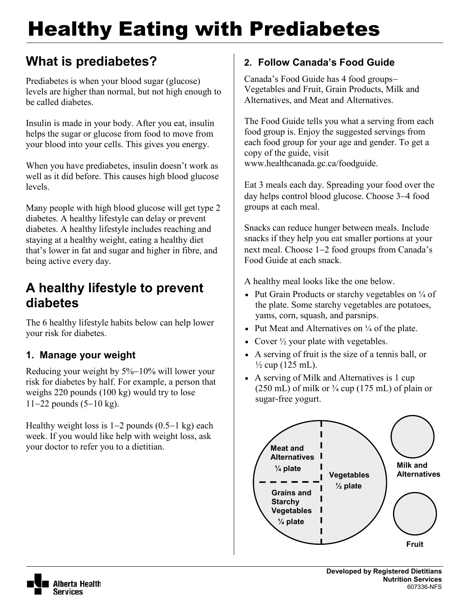# Healthy Eating with Prediabetes

# **What is prediabetes?**

Prediabetes is when your blood sugar (glucose) levels are higher than normal, but not high enough to be called diabetes.

Insulin is made in your body. After you eat, insulin helps the sugar or glucose from food to move from your blood into your cells. This gives you energy.

When you have prediabetes, insulin doesn't work as well as it did before. This causes high blood glucose levels.

Many people with high blood glucose will get type 2 diabetes. A healthy lifestyle can delay or prevent diabetes. A healthy lifestyle includes reaching and staying at a healthy weight, eating a healthy diet that's lower in fat and sugar and higher in fibre, and being active every day.

# **A healthy lifestyle to prevent diabetes**

The 6 healthy lifestyle habits below can help lower your risk for diabetes.

# **1. Manage your weight**

Reducing your weight by 5%−10% will lower your risk for diabetes by half. For example, a person that weighs 220 pounds (100 kg) would try to lose 11−22 pounds (5−10 kg).

Healthy weight loss is 1−2 pounds (0.5−1 kg) each week. If you would like help with weight loss, ask your doctor to refer you to a dietitian.

## **2. Follow Canada's Food Guide**

Canada's Food Guide has 4 food groups− Vegetables and Fruit, Grain Products, Milk and Alternatives, and Meat and Alternatives.

The Food Guide tells you what a serving from each food group is. Enjoy the suggested servings from each food group for your age and gender. To get a copy of the guide, visit www.healthcanada.gc.ca/foodguide.

Eat 3 meals each day. Spreading your food over the day helps control blood glucose. Choose 3−4 food groups at each meal.

Snacks can reduce hunger between meals. Include snacks if they help you eat smaller portions at your next meal. Choose 1−2 food groups from Canada's Food Guide at each snack.

A healthy meal looks like the one below.

- Put Grain Products or starchy vegetables on  $\frac{1}{4}$  of the plate. Some starchy vegetables are potatoes, yams, corn, squash, and parsnips.
- Put Meat and Alternatives on  $\frac{1}{4}$  of the plate.
- Cover  $\frac{1}{2}$  your plate with vegetables.
- A serving of fruit is the size of a tennis ball, or  $\frac{1}{2}$  cup (125 mL).
- A serving of Milk and Alternatives is 1 cup  $(250 \text{ mL})$  of milk or  $\frac{3}{4}$  cup  $(175 \text{ mL})$  of plain or sugar-free yogurt.



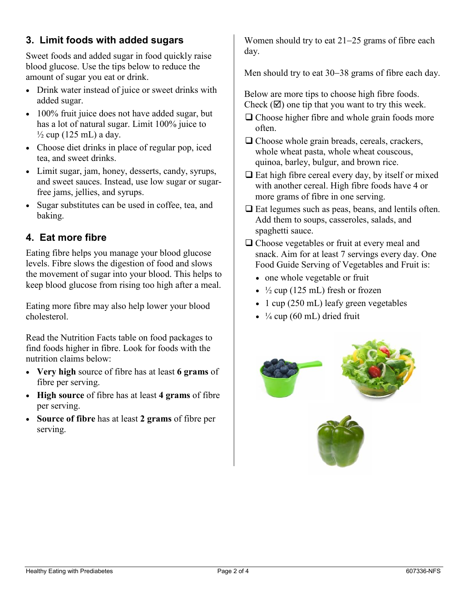## **3. Limit foods with added sugars**

Sweet foods and added sugar in food quickly raise blood glucose. Use the tips below to reduce the amount of sugar you eat or drink.

- Drink water instead of juice or sweet drinks with added sugar.
- 100% fruit juice does not have added sugar, but has a lot of natural sugar. Limit 100% juice to  $\frac{1}{2}$  cup (125 mL) a day.
- Choose diet drinks in place of regular pop, iced tea, and sweet drinks.
- Limit sugar, jam, honey, desserts, candy, syrups, and sweet sauces. Instead, use low sugar or sugarfree jams, jellies, and syrups.
- Sugar substitutes can be used in coffee, tea, and baking.

#### **4. Eat more fibre**

Eating fibre helps you manage your blood glucose levels. Fibre slows the digestion of food and slows the movement of sugar into your blood. This helps to keep blood glucose from rising too high after a meal.

Eating more fibre may also help lower your blood cholesterol.

Read the Nutrition Facts table on food packages to find foods higher in fibre. Look for foods with the nutrition claims below:

- **Very high** source of fibre has at least **6 grams** of fibre per serving.
- **High source** of fibre has at least **4 grams** of fibre per serving.
- **Source of fibre** has at least **2 grams** of fibre per serving.

Women should try to eat 21−25 grams of fibre each day.

Men should try to eat 30–38 grams of fibre each day.

Below are more tips to choose high fibre foods. Check  $(\mathbf{\nabla})$  one tip that you want to try this week.

- $\Box$  Choose higher fibre and whole grain foods more often.
- $\Box$  Choose whole grain breads, cereals, crackers, whole wheat pasta, whole wheat couscous, quinoa, barley, bulgur, and brown rice.
- $\Box$  Eat high fibre cereal every day, by itself or mixed with another cereal. High fibre foods have 4 or more grams of fibre in one serving.
- $\Box$  Eat legumes such as peas, beans, and lentils often. Add them to soups, casseroles, salads, and spaghetti sauce.
- $\Box$  Choose vegetables or fruit at every meal and snack. Aim for at least 7 servings every day. One Food Guide Serving of Vegetables and Fruit is:
	- one whole vegetable or fruit
	- $\frac{1}{2}$  cup (125 mL) fresh or frozen
	- 1 cup (250 mL) leafy green vegetables
	- $\frac{1}{4}$  cup (60 mL) dried fruit



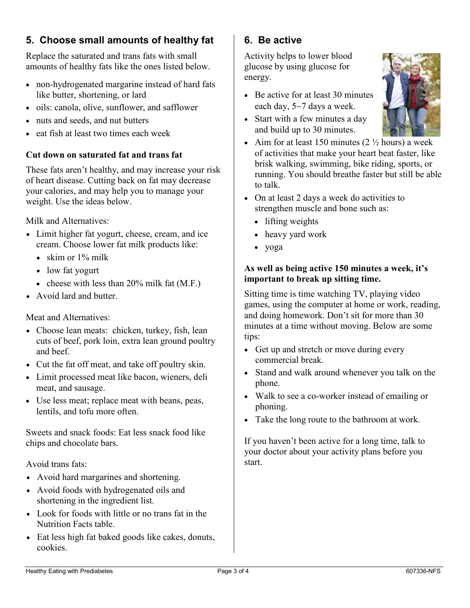## **5. Choose small amounts of healthy fat**

Replace the saturated and trans fats with small amounts of healthy fats like the ones listed below.

- non-hydrogenated margarine instead of hard fats like butter, shortening, or lard
- oils: canola, olive, sunflower, and safflower
- nuts and seeds, and nut butters
- eat fish at least two times each week

#### **Cut down on saturated fat and trans fat**

These fats aren't healthy, and may increase your risk of heart disease. Cutting back on fat may decrease your calories, and may help you to manage your weight. Use the ideas below.

Milk and Alternatives:

- Limit higher fat yogurt, cheese, cream, and ice cream. Choose lower fat milk products like:
	- skim or 1% milk
	- low fat yogurt
	- cheese with less than 20% milk fat (M.F.)
- Avoid lard and butter.

#### Meat and Alternatives:

- Choose lean meats: chicken, turkey, fish, lean cuts of beef, pork loin, extra lean ground poultry and beef.
- Cut the fat off meat, and take off poultry skin.
- Limit processed meat like bacon, wieners, deli meat, and sausage.
- Use less meat; replace meat with beans, peas, lentils, and tofu more often.

Sweets and snack foods: Eat less snack food like chips and chocolate bars.

Avoid trans fats:

- Avoid hard margarines and shortening.
- Avoid foods with hydrogenated oils and shortening in the ingredient list.
- Look for foods with little or no trans fat in the Nutrition Facts table.
- Eat less high fat baked goods like cakes, donuts, cookies.

### **6. Be active**

Activity helps to lower blood glucose by using glucose for energy.

- Be active for at least 30 minutes each day, 5−7 days a week.
- Start with a few minutes a day and build up to 30 minutes.



- Aim for at least 150 minutes  $(2 \frac{1}{2})$  hours) a week of activities that make your heart beat faster, like brisk walking, swimming, bike riding, sports, or running. You should breathe faster but still be able to talk.
- On at least 2 days a week do activities to strengthen muscle and bone such as:
	- lifting weights
	- heavy yard work
	- yoga

#### **As well as being active 150 minutes a week, it's important to break up sitting time.**

Sitting time is time watching TV, playing video games, using the computer at home or work, reading, and doing homework. Don't sit for more than 30 minutes at a time without moving. Below are some tips:

- Get up and stretch or move during every commercial break.
- Stand and walk around whenever you talk on the phone.
- Walk to see a co-worker instead of emailing or phoning.
- Take the long route to the bathroom at work.

If you haven't been active for a long time, talk to your doctor about your activity plans before you start.